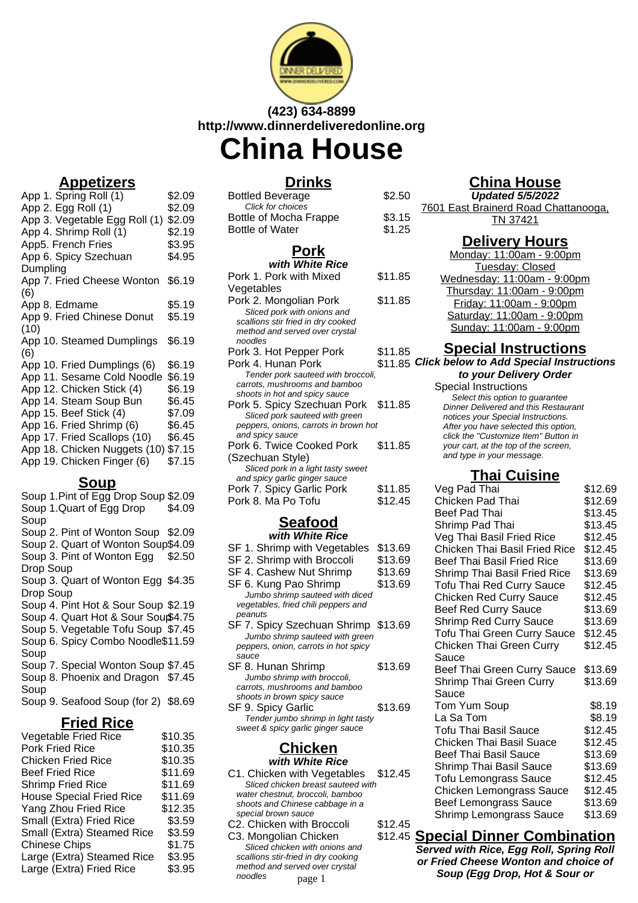

# **(423) 634-8899 http://www.dinnerdeliveredonline.org**

**China House**

## **Appetizers**

| App 1. Spring Roll (1)              | \$2.09 |
|-------------------------------------|--------|
| App 2. Egg Roll (1)                 | \$2.09 |
| App 3. Vegetable Egg Roll (1)       | \$2.09 |
| App 4. Shrimp Roll (1)              | \$2.19 |
| App5. French Fries                  | \$3.95 |
| App 6. Spicy Szechuan               | \$4.95 |
| Dumpling                            |        |
| App 7. Fried Cheese Wonton          | \$6.19 |
| (6)                                 |        |
| App 8. Edmame                       | \$5.19 |
| App 9. Fried Chinese Donut          | \$5.19 |
| (10)                                |        |
| App 10. Steamed Dumplings           | \$6.19 |
| (6)                                 |        |
| App 10. Fried Dumplings (6)         | \$6.19 |
| App 11. Sesame Cold Noodle          | \$6.19 |
| App 12. Chicken Stick (4)           | \$6.19 |
| App 14. Steam Soup Bun              | \$6.45 |
| App 15. Beef Stick (4)              | \$7.09 |
| App 16. Fried Shrimp (6)            | \$6.45 |
| App 17. Fried Scallops (10)         | \$6.45 |
| App 18. Chicken Nuggets (10) \$7.15 |        |
| App 19. Chicken Finger (6)          | \$7.15 |
|                                     |        |

### **Soup**

Soup 1.Pint of Egg Drop Soup \$2.09 Soup 1.Quart of Egg Drop Soup \$4.09 Soup 2. Pint of Wonton Soup \$2.09 Soup 2. Quart of Wonton Soup\$4.09 Soup 3. Pint of Wonton Egg \$2.50 Drop Soup Soup 3. Quart of Wonton Egg \$4.35 Drop Soup Soup 4. Pint Hot & Sour Soup \$2.19 Soup 4. Quart Hot & Sour Sour\$4.75 Soup 5. Vegetable Tofu Soup \$7.45 Soup 6. Spicy Combo Noodle \$11.59 Soup Soup 7. Special Wonton Soup \$7.45 Soup 8. Phoenix and Dragon \$7.45 Soup Soup 9. Seafood Soup (for 2) \$8.69

## **Fried Rice**

| <b>Vegetable Fried Rice</b>     | \$10.35 |
|---------------------------------|---------|
| <b>Pork Fried Rice</b>          | \$10.35 |
| <b>Chicken Fried Rice</b>       | \$10.35 |
| <b>Beef Fried Rice</b>          | \$11.69 |
| <b>Shrimp Fried Rice</b>        | \$11.69 |
| <b>House Special Fried Rice</b> | \$11.69 |
| Yang Zhou Fried Rice            | \$12.35 |
| Small (Extra) Fried Rice        | \$3.59  |
| Small (Extra) Steamed Rice      | \$3.59  |
| <b>Chinese Chips</b>            | \$1.75  |
| Large (Extra) Steamed Rice      | \$3.95  |
| Large (Extra) Fried Rice        | \$3.95  |
|                                 |         |

## **Drinks**

| בחוווו                                |         |
|---------------------------------------|---------|
| Bottled Beverage                      | \$2.50  |
| Click for choices                     |         |
| Bottle of Mocha Frappe                | \$3.15  |
| <b>Bottle of Water</b>                | \$1.25  |
| <u>Pork</u>                           |         |
| with White Rice                       |         |
| Pork 1. Pork with Mixed               | \$11.85 |
| Vegetables                            |         |
| Pork 2. Mongolian Pork                | \$11.85 |
| Sliced pork with onions and           |         |
| scallions stir fried in dry cooked    |         |
| method and served over crystal        |         |
| noodles                               |         |
| Pork 3. Hot Pepper Pork               | \$11.85 |
| Pork 4. Hunan Pork                    | \$11.85 |
| Tender pork sauteed with broccoli,    |         |
| carrots, mushrooms and bamboo         |         |
| shoots in hot and spicy sauce         |         |
| Pork 5. Spicy Szechuan Pork           | \$11.85 |
| Sliced pork sauteed with green        |         |
| peppers, onions, carrots in brown hot |         |
| and spicy sauce                       |         |
| Pork 6. Twice Cooked Pork             | \$11.85 |
| (Szechuan Style)                      |         |
| Sliced pork in a light tasty sweet    |         |
| and spicy garlic ginger sauce         |         |
| Pork 7. Spicy Garlic Pork             | \$11.85 |
| Pork 8. Ma Po Tofu                    | \$12.45 |
|                                       |         |

# **Seafood**

| with White Rice                                                                                                         |         |  |
|-------------------------------------------------------------------------------------------------------------------------|---------|--|
| SF 1. Shrimp with Vegetables                                                                                            | \$13.69 |  |
| SF 2. Shrimp with Broccoli                                                                                              | \$13.69 |  |
| SF 4. Cashew Nut Shrimp                                                                                                 | \$13.69 |  |
| SF 6. Kung Pao Shrimp                                                                                                   | \$13.69 |  |
| Jumbo shrimp sauteed with diced<br>vegetables, fried chili peppers and<br>peanuts                                       |         |  |
| SF 7. Spicy Szechuan Shrimp \$13.69<br>Jumbo shrimp sauteed with green<br>peppers, onion, carrots in hot spicy<br>sauce |         |  |
| SF 8. Hunan Shrimp<br>Jumbo shrimp with broccoli,<br>carrots, mushrooms and bamboo<br>shoots in brown spicy sauce       | \$13.69 |  |
| SF 9. Spicy Garlic<br>Tender jumbo shrimp in light tasty<br>sweet & spicy garlic ginger sauce                           | \$13.69 |  |

### **Chicken with White Rice**

- C1. Chicken with Vegetables \$12.45 Sliced chicken breast sauteed with water chestnut, broccoli, bamboo shoots and Chinese cabbage in a special brown sauce
- C2. Chicken with Broccoli \$12.45 C3. Mongolian Chicken Sliced chicken with onions and scallions stir-fried in dry cooking method and served over crystal noodles

## **China House**

**Updated 5/5/2022** 7601 East Brainerd Road Chattanooga, TN 37421

### **Delivery Hours**

| Monday: 11:00am - 9:00pm    |
|-----------------------------|
| Tuesday: Closed             |
| Wednesday: 11:00am - 9:00pm |
| Thursday: 11:00am - 9:00pm  |
| Friday: 11:00am - 9:00pm    |
| Saturday: 11:00am - 9:00pm  |
| Sunday: 11:00am - 9:00pm    |

### **Special Instructions**

**Click below to Add Special Instructions**

**to your Delivery Order** Special Instructions Select this option to quarantee Dinner Delivered and this Restaurant notices your Special Instructions. After you have selected this option, click the "Customize Item" Button in your cart, at the top of the screen,

and type in your message.

## **Thai Cuisine**

| Veg Pad Thai                       | \$12.69 |
|------------------------------------|---------|
| Chicken Pad Thai                   | \$12.69 |
| Beef Pad Thai                      | \$13.45 |
| Shrimp Pad Thai                    | \$13.45 |
| Veg Thai Basil Fried Rice          | \$12.45 |
| Chicken Thai Basil Fried Rice      | \$12.45 |
| Beef Thai Basil Fried Rice         | \$13.69 |
| Shrimp Thai Basil Fried Rice       | \$13.69 |
| <b>Tofu Thai Red Curry Sauce</b>   | \$12.45 |
| <b>Chicken Red Curry Sauce</b>     | \$12.45 |
| <b>Beef Red Curry Sauce</b>        | \$13.69 |
| <b>Shrimp Red Curry Sauce</b>      | \$13.69 |
| <b>Tofu Thai Green Curry Sauce</b> | \$12.45 |
| Chicken Thai Green Curry           | \$12.45 |
| Sauce                              |         |
| Beef Thai Green Curry Sauce        | \$13.69 |
| Shrimp Thai Green Curry            | \$13.69 |
| Sauce                              |         |
| Tom Yum Soup                       | \$8.19  |
| La Sa Tom                          | \$8.19  |
| Tofu Thai Basil Sauce              | \$12.45 |
| <b>Chicken Thai Basil Suace</b>    | \$12.45 |
| <b>Beef Thai Basil Sauce</b>       | \$13.69 |
| <b>Shrimp Thai Basil Sauce</b>     | \$13.69 |
| <b>Tofu Lemongrass Sauce</b>       | \$12.45 |
| Chicken Lemongrass Sauce           | \$12.45 |
| <b>Beef Lemongrass Sauce</b>       | \$13.69 |
| Shrimp Lemongrass Sauce            | \$13.69 |
|                                    |         |

## **Special Dinner Combination**

**Served with Rice, Egg Roll, Spring Roll or Fried Cheese Wonton and choice of Soup (Egg Drop, Hot & Sour or** page 1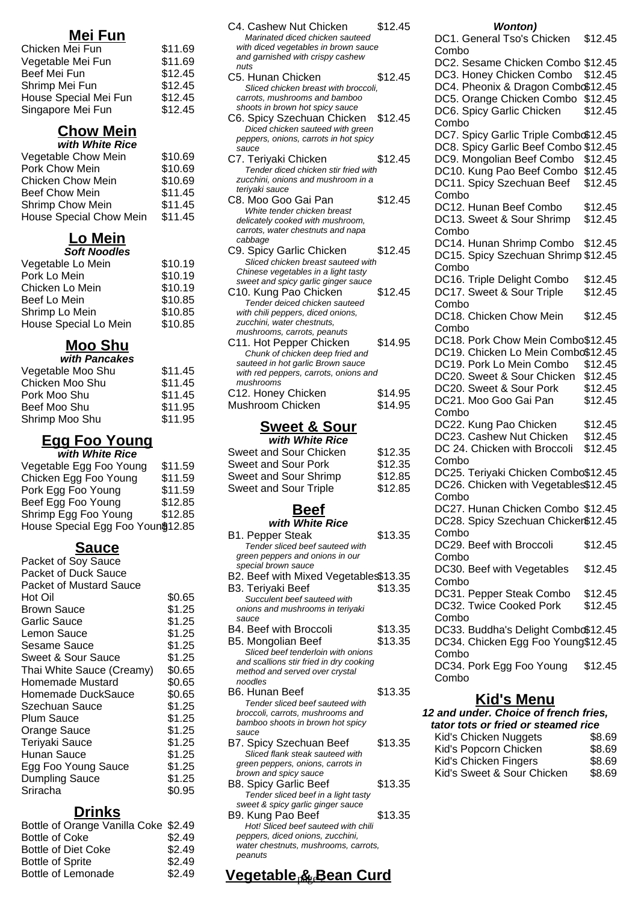## **Mei Fun**

| Chicken Mei Fun       | \$11.69 |
|-----------------------|---------|
| Vegetable Mei Fun     | \$11.69 |
| Beef Mei Fun          | \$12.45 |
| Shrimp Mei Fun        | \$12.45 |
| House Special Mei Fun | \$12.45 |
| Singapore Mei Fun     | \$12.45 |

# **Chow Mein**

| with White Rice          |         |
|--------------------------|---------|
| Vegetable Chow Mein      | \$10.69 |
| Pork Chow Mein           | \$10.69 |
| <b>Chicken Chow Mein</b> | \$10.69 |
| <b>Beef Chow Mein</b>    | \$11.45 |
| Shrimp Chow Mein         | \$11.45 |
| House Special Chow Mein  | \$11.45 |
|                          |         |

# **Lo Mein**

| <b>Soft Noodles</b>   |         |
|-----------------------|---------|
| Vegetable Lo Mein     | \$10.19 |
| Pork Lo Mein          | \$10.19 |
| Chicken Lo Mein       | \$10.19 |
| Beef Lo Mein          | \$10.85 |
| Shrimp Lo Mein        | \$10.85 |
| House Special Lo Mein | \$10.85 |
|                       |         |

# **Moo Shu**

| with Pancakes     |         |
|-------------------|---------|
| Vegetable Moo Shu | \$11.45 |
| Chicken Moo Shu   | \$11.45 |
| Pork Moo Shu      | \$11.45 |
| Beef Moo Shu      | \$11.95 |
| Shrimp Moo Shu    | \$11.95 |

### **Egg Foo Young with White Rice**

| Vegetable Egg Foo Young            | \$11.59 |
|------------------------------------|---------|
| Chicken Egg Foo Young              | \$11.59 |
| Pork Egg Foo Young                 | \$11.59 |
| Beef Egg Foo Young                 | \$12.85 |
| Shrimp Egg Foo Young               | \$12.85 |
| House Special Egg Foo Youn \$12.85 |         |
|                                    |         |

## **Sauce**

| Packet of Soy Sauce            |        |
|--------------------------------|--------|
| <b>Packet of Duck Sauce</b>    |        |
| <b>Packet of Mustard Sauce</b> |        |
| Hot Oil                        | \$0.65 |
| <b>Brown Sauce</b>             | \$1.25 |
| Garlic Sauce                   | \$1.25 |
| Lemon Sauce                    | \$1.25 |
| Sesame Sauce                   | \$1.25 |
| <b>Sweet &amp; Sour Sauce</b>  | \$1.25 |
| Thai White Sauce (Creamy)      | \$0.65 |
| Homemade Mustard               | \$0.65 |
| Homemade DuckSauce             | \$0.65 |
| Szechuan Sauce                 | \$1.25 |
| <b>Plum Sauce</b>              | \$1.25 |
| Orange Sauce                   | \$1.25 |
| Teriyaki Sauce                 | \$1.25 |
| Hunan Sauce                    | \$1.25 |
| Egg Foo Young Sauce            | \$1.25 |
| <b>Dumpling Sauce</b>          | \$1.25 |
| Sriracha                       | \$0.95 |
|                                |        |

## **Drinks**

| Bottle of Orange Vanilla Coke \$2.49 |        |
|--------------------------------------|--------|
| <b>Bottle of Coke</b>                | \$2.49 |
| Bottle of Diet Coke                  | \$2.49 |
| <b>Bottle of Sprite</b>              | \$2.49 |
| <b>Bottle of Lemonade</b>            | \$2.49 |
|                                      |        |

| C4. Cashew Nut Chicken                                                    | \$12.45 |  |
|---------------------------------------------------------------------------|---------|--|
| Marinated diced chicken sauteed<br>with diced vegetables in brown sauce   |         |  |
| and garnished with crispy cashew                                          |         |  |
| nuts                                                                      |         |  |
| C5. Hunan Chicken                                                         | \$12.45 |  |
| Sliced chicken breast with broccoli,                                      |         |  |
| carrots, mushrooms and bamboo                                             |         |  |
| shoots in brown hot spicy sauce                                           |         |  |
| C6. Spicy Szechuan Chicken                                                | \$12.45 |  |
| Diced chicken sauteed with green<br>peppers, onions, carrots in hot spicy |         |  |
| sauce                                                                     |         |  |
| C7. Teriyaki Chicken                                                      | \$12.45 |  |
| Tender diced chicken stir fried with                                      |         |  |
| zucchini, onions and mushroom in a                                        |         |  |
| teriyaki sauce                                                            |         |  |
| C8. Moo Goo Gai Pan                                                       | \$12.45 |  |
| White tender chicken breast                                               |         |  |
| delicately cooked with mushroom,<br>carrots, water chestnuts and napa     |         |  |
| cabbage                                                                   |         |  |
| C9. Spicy Garlic Chicken                                                  | \$12.45 |  |
| Sliced chicken breast sauteed with                                        |         |  |
| Chinese vegetables in a light tasty                                       |         |  |
| sweet and spicy garlic ginger sauce                                       |         |  |
| C10. Kung Pao Chicken                                                     | \$12.45 |  |
| Tender deiced chicken sauteed                                             |         |  |
| with chili peppers, diced onions,<br>zucchini, water chestnuts,           |         |  |
| mushrooms, carrots, peanuts                                               |         |  |
| C11. Hot Pepper Chicken                                                   | \$14.95 |  |
| Chunk of chicken deep fried and                                           |         |  |
| sauteed in hot garlic Brown sauce                                         |         |  |
| with red peppers, carrots, onions and                                     |         |  |
| mushrooms                                                                 |         |  |
| C12. Honey Chicken                                                        | \$14.95 |  |
| Mushroom Chicken                                                          | \$14.95 |  |
| <b>Sweet &amp; Sour</b>                                                   |         |  |
| with White Rice                                                           |         |  |
| Sweet and Sour Chicken                                                    | \$12.35 |  |
| <b>Sweet and Sour Pork</b>                                                | \$12.35 |  |
|                                                                           |         |  |
| <b>Sweet and Sour Shrimp</b>                                              | \$12.85 |  |
| Sweet and Sour Triple                                                     | \$12.85 |  |
| Daaf                                                                      |         |  |

### **Beef with White Rice**

| with white Rice                         |         |
|-----------------------------------------|---------|
| B1. Pepper Steak                        | \$13.35 |
| Tender sliced beef sauteed with         |         |
| green peppers and onions in our         |         |
| special brown sauce                     |         |
| B2. Beef with Mixed Vegetable\$13.35    |         |
| B3. Teriyaki Beef                       | \$13.35 |
| Succulent beef sauteed with             |         |
| onions and mushrooms in teriyaki        |         |
| sauce                                   |         |
| B4. Beef with Broccoli                  | \$13.35 |
| B5. Mongolian Beef                      | \$13.35 |
| Sliced beef tenderloin with onions      |         |
| and scallions stir fried in dry cooking |         |
| method and served over crystal          |         |
| noodles                                 |         |
| B6. Hunan Beef                          | \$13.35 |
| Tender sliced beef sauteed with         |         |
| broccoli, carrots, mushrooms and        |         |
| bamboo shoots in brown hot spicy        |         |
| sauce                                   |         |
| B7. Spicy Szechuan Beef                 | \$13.35 |
| Sliced flank steak sauteed with         |         |
| green peppers, onions, carrots in       |         |
| brown and spicy sauce                   |         |
| B8. Spicy Garlic Beef                   | \$13.35 |
| Tender sliced beef in a light tasty     |         |
| sweet & spicy garlic ginger sauce       |         |
| B9. Kung Pao Beef                       | \$13.35 |
| Hot! Sliced beef sauteed with chili     |         |
| peppers, diced onions, zucchini,        |         |
| water chestnuts, mushrooms, carrots,    |         |

#### peanuts

## **Vegetable & Bean Curd** page 2

#### **Wonton)**

| DC1. General Tso's Chicken            | \$12.45 |  |
|---------------------------------------|---------|--|
| Combo                                 |         |  |
| DC2. Sesame Chicken Combo \$12.45     |         |  |
| DC3. Honey Chicken Combo              | \$12.45 |  |
| DC4. Pheonix & Dragon Combo\$12.45    |         |  |
| DC5. Orange Chicken Combo             | \$12.45 |  |
| DC6. Spicy Garlic Chicken             | \$12.45 |  |
| Combo                                 |         |  |
| DC7. Spicy Garlic Triple Combo\$12.45 |         |  |
| DC8. Spicy Garlic Beef Combo \$12.45  |         |  |
|                                       |         |  |
| DC9. Mongolian Beef Combo             | \$12.45 |  |
| DC10. Kung Pao Beef Combo             | \$12.45 |  |
| DC11. Spicy Szechuan Beef             | \$12.45 |  |
| Combo                                 |         |  |
| DC12. Hunan Beef Combo                | \$12.45 |  |
| DC13. Sweet & Sour Shrimp             | \$12.45 |  |
| Combo                                 |         |  |
| DC14. Hunan Shrimp Combo              | \$12.45 |  |
| DC15. Spicy Szechuan Shrimp \$12.45   |         |  |
| Combo                                 |         |  |
|                                       |         |  |
| DC16. Triple Delight Combo            | \$12.45 |  |
| DC17. Sweet & Sour Triple             | \$12.45 |  |
| Combo                                 |         |  |
| DC18. Chicken Chow Mein               | \$12.45 |  |
| Combo                                 |         |  |
| DC18. Pork Chow Mein Combo\$12.45     |         |  |
| DC19. Chicken Lo Mein Combo\$12.45    |         |  |
| DC19. Pork Lo Mein Combo              | \$12.45 |  |
| DC20. Sweet & Sour Chicken            | \$12.45 |  |
| DC20. Sweet & Sour Pork               | \$12.45 |  |
| DC21. Moo Goo Gai Pan                 | \$12.45 |  |
| Combo                                 |         |  |
| DC22. Kung Pao Chicken                | \$12.45 |  |
| DC23. Cashew Nut Chicken              | \$12.45 |  |
|                                       |         |  |
| DC 24. Chicken with Broccoli          | \$12.45 |  |
| Combo                                 |         |  |
| DC25. Teriyaki Chicken Combo\$12.45   |         |  |
| DC26. Chicken with Vegetables\$12.45  |         |  |
| Combo                                 |         |  |
| DC27. Hunan Chicken Combo \$12.45     |         |  |
| DC28. Spicy Szechuan Chicker\$12.45   |         |  |
| Combo                                 |         |  |
| DC29. Beef with Broccoli              | \$12.45 |  |
| Combo                                 |         |  |
| DC30. Beef with Vegetables            | \$12.45 |  |
| Combo                                 |         |  |
|                                       |         |  |
| DC31. Pepper Steak Combo \$12.45      |         |  |
| DC32. Twice Cooked Pork               | \$12.45 |  |
| Combo                                 |         |  |
| DC33. Buddha's Delight Combo\$12.45   |         |  |
| DC34. Chicken Egg Foo Young\$12.45    |         |  |
| Combo                                 |         |  |
| DC34. Pork Egg Foo Young \$12.45      |         |  |
| Combo                                 |         |  |
|                                       |         |  |
| <b>Kid's Menu</b>                     |         |  |
| 12 and under. Choice of french fries, |         |  |

| tator tots or fried or steamed rice |        |  |
|-------------------------------------|--------|--|
| Kid's Chicken Nuggets               | \$8.69 |  |
| Kid's Popcorn Chicken               | \$8.69 |  |
| Kid's Chicken Fingers               | \$8.69 |  |
| Kid's Sweet & Sour Chicken          | \$8.69 |  |
|                                     |        |  |